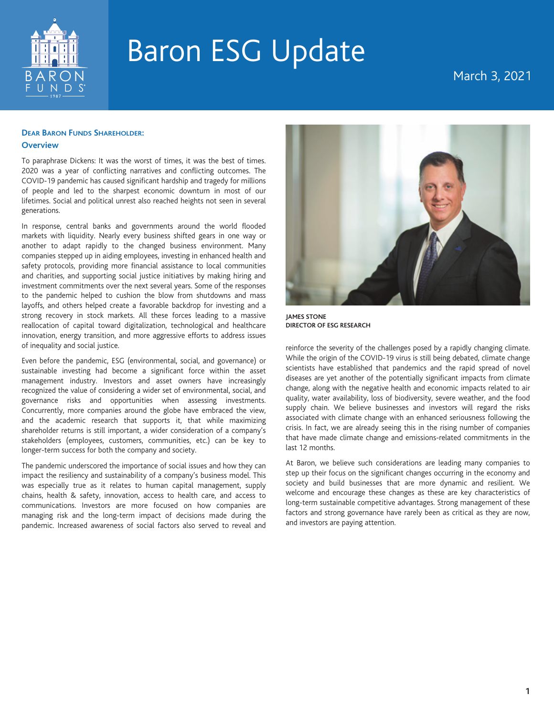

# March 3, 2021

## **DEAR BARON FUNDS SHAREHOLDER:**

### **Overview**

To paraphrase Dickens: It was the worst of times, it was the best of times. 2020 was a year of conflicting narratives and conflicting outcomes. The COVID-19 pandemic has caused significant hardship and tragedy for millions of people and led to the sharpest economic downturn in most of our lifetimes. Social and political unrest also reached heights not seen in several generations.

In response, central banks and governments around the world flooded markets with liquidity. Nearly every business shifted gears in one way or another to adapt rapidly to the changed business environment. Many companies stepped up in aiding employees, investing in enhanced health and safety protocols, providing more financial assistance to local communities and charities, and supporting social justice initiatives by making hiring and investment commitments over the next several years. Some of the responses to the pandemic helped to cushion the blow from shutdowns and mass layoffs, and others helped create a favorable backdrop for investing and a strong recovery in stock markets. All these forces leading to a massive reallocation of capital toward digitalization, technological and healthcare innovation, energy transition, and more aggressive efforts to address issues of inequality and social justice.

Even before the pandemic, ESG (environmental, social, and governance) or sustainable investing had become a significant force within the asset management industry. Investors and asset owners have increasingly recognized the value of considering a wider set of environmental, social, and governance risks and opportunities when assessing investments. Concurrently, more companies around the globe have embraced the view, and the academic research that supports it, that while maximizing shareholder returns is still important, a wider consideration of a company's stakeholders (employees, customers, communities, etc.) can be key to longer-term success for both the company and society.

The pandemic underscored the importance of social issues and how they can impact the resiliency and sustainability of a company's business model. This was especially true as it relates to human capital management, supply chains, health & safety, innovation, access to health care, and access to communications. Investors are more focused on how companies are managing risk and the long-term impact of decisions made during the pandemic. Increased awareness of social factors also served to reveal and



**JAMES STONE DIRECTOR OF ESG RESEARCH**

reinforce the severity of the challenges posed by a rapidly changing climate. While the origin of the COVID-19 virus is still being debated, climate change scientists have established that pandemics and the rapid spread of novel diseases are yet another of the potentially significant impacts from climate change, along with the negative health and economic impacts related to air quality, water availability, loss of biodiversity, severe weather, and the food supply chain. We believe businesses and investors will regard the risks associated with climate change with an enhanced seriousness following the crisis. In fact, we are already seeing this in the rising number of companies that have made climate change and emissions-related commitments in the last 12 months.

At Baron, we believe such considerations are leading many companies to step up their focus on the significant changes occurring in the economy and society and build businesses that are more dynamic and resilient. We welcome and encourage these changes as these are key characteristics of long-term sustainable competitive advantages. Strong management of these factors and strong governance have rarely been as critical as they are now, and investors are paying attention.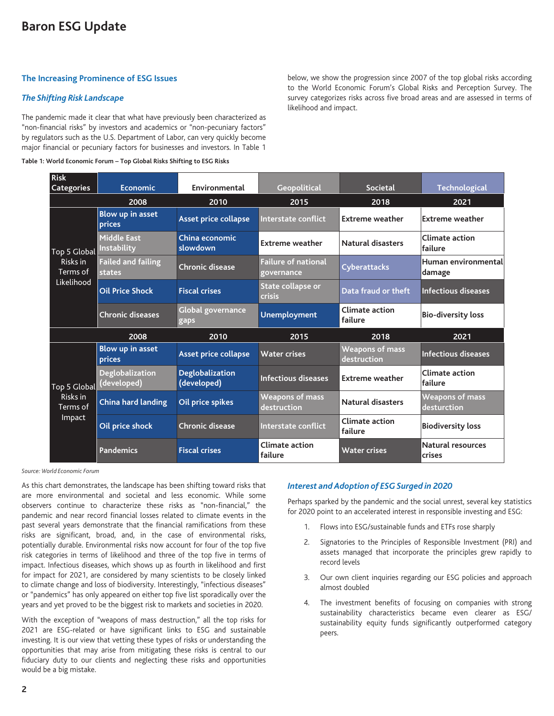## **The Increasing Prominence of ESG Issues**

### *The Shifting Risk Landscape*

The pandemic made it clear that what have previously been characterized as "non-financial risks" by investors and academics or "non-pecuniary factors" by regulators such as the U.S. Department of Labor, can very quickly become major financial or pecuniary factors for businesses and investors. In Table 1

**Table 1: World Economic Forum – Top Global Risks Shifting to ESG Risks**

below, we show the progression since 2007 of the top global risks according to the World Economic Forum's Global Risks and Perception Survey. The survey categorizes risks across five broad areas and are assessed in terms of likelihood and impact.

| <b>Risk</b>                                        |                                          |                                       |                                          |                                       |                                       |
|----------------------------------------------------|------------------------------------------|---------------------------------------|------------------------------------------|---------------------------------------|---------------------------------------|
| <b>Categories</b>                                  | <b>Economic</b>                          | Environmental                         | <b>Geopolitical</b>                      | <b>Societal</b>                       | <b>Technological</b>                  |
|                                                    | 2008                                     | 2010                                  | 2015                                     | 2018                                  | 2021                                  |
| Top 5 Global<br>Risks in<br>Terms of<br>Likelihood | Blow up in asset<br>prices               | Asset price collapse                  | Interstate conflict                      | <b>Extreme weather</b>                | Extreme weather                       |
|                                                    | <b>Middle East</b><br><b>Instability</b> | China economic<br>slowdown            | <b>Extreme weather</b>                   | <b>Natural disasters</b>              | Climate action<br>lfailure            |
|                                                    | <b>Failed and failing</b><br>states      | <b>Chronic disease</b>                | <b>Failure of national</b><br>governance | <b>Cyberattacks</b>                   | Human environmental<br>damage         |
|                                                    | <b>Oil Price Shock</b>                   | <b>Fiscal crises</b>                  | State collapse or<br><b>crisis</b>       | Data fraud or theft                   | <b>Infectious diseases</b>            |
|                                                    | <b>Chronic diseases</b>                  | <b>Global governance</b><br>gaps      | <b>Unemployment</b>                      | <b>Climate action</b><br>failure      | <b>Bio-diversity loss</b>             |
|                                                    | 2008                                     | 2010                                  | 2015                                     | 2018                                  | 2021                                  |
| Top 5 Global<br>Risks in<br>Terms of<br>Impact     | <b>Blow up in asset</b><br>prices        | Asset price collapse                  | <b>Water crises</b>                      | <b>Weapons of mass</b><br>destruction | <b>Infectious diseases</b>            |
|                                                    | Deglobalization<br>(developed)           | <b>Deglobalization</b><br>(developed) | <b>Infectious diseases</b>               | <b>Extreme weather</b>                | Climate action<br>failure             |
|                                                    | <b>China hard landing</b>                | Oil price spikes                      | <b>Weapons of mass</b><br>destruction    | <b>Natural disasters</b>              | <b>Weapons of mass</b><br>desturction |
|                                                    | Oil price shock                          | <b>Chronic disease</b>                | Interstate conflict                      | <b>Climate action</b><br>failure      | <b>Biodiversity loss</b>              |
|                                                    | <b>Pandemics</b>                         | <b>Fiscal crises</b>                  | <b>Climate action</b><br>failure         | <b>Water crises</b>                   | Natural resources<br><b>crises</b>    |

*Source: World Economic Forum*

As this chart demonstrates, the landscape has been shifting toward risks that are more environmental and societal and less economic. While some observers continue to characterize these risks as "non-financial," the pandemic and near record financial losses related to climate events in the past several years demonstrate that the financial ramifications from these risks are significant, broad, and, in the case of environmental risks, potentially durable. Environmental risks now account for four of the top five risk categories in terms of likelihood and three of the top five in terms of impact. Infectious diseases, which shows up as fourth in likelihood and first for impact for 2021, are considered by many scientists to be closely linked to climate change and loss of biodiversity. Interestingly, "infectious diseases" or "pandemics" has only appeared on either top five list sporadically over the years and yet proved to be the biggest risk to markets and societies in 2020.

With the exception of "weapons of mass destruction," all the top risks for 2021 are ESG-related or have significant links to ESG and sustainable investing. It is our view that vetting these types of risks or understanding the opportunities that may arise from mitigating these risks is central to our fiduciary duty to our clients and neglecting these risks and opportunities would be a big mistake.

#### *Interest and Adoption of ESG Surged in 2020*

Perhaps sparked by the pandemic and the social unrest, several key statistics for 2020 point to an accelerated interest in responsible investing and ESG:

- 1. Flows into ESG/sustainable funds and ETFs rose sharply
- 2. Signatories to the Principles of Responsible Investment (PRI) and assets managed that incorporate the principles grew rapidly to record levels
- 3. Our own client inquiries regarding our ESG policies and approach almost doubled
- 4. The investment benefits of focusing on companies with strong sustainability characteristics became even clearer as ESG/ sustainability equity funds significantly outperformed category peers.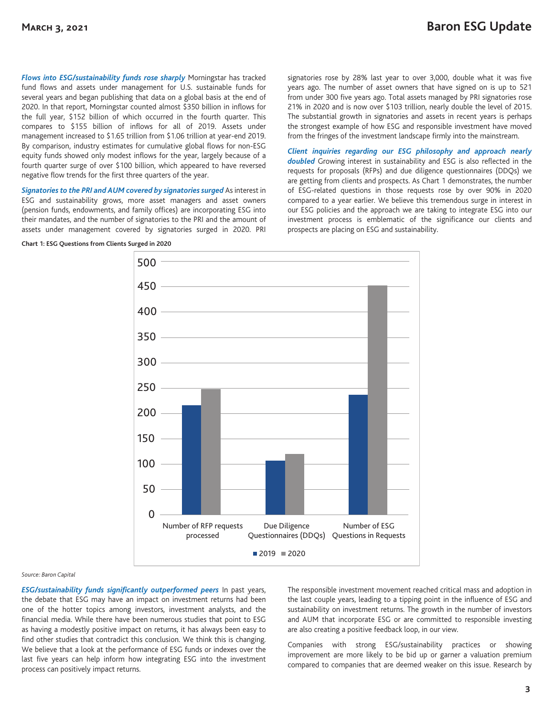*Flows into ESG/sustainability funds rose sharply* Morningstar has tracked fund flows and assets under management for U.S. sustainable funds for several years and began publishing that data on a global basis at the end of 2020. In that report, Morningstar counted almost \$350 billion in inflows for the full year, \$152 billion of which occurred in the fourth quarter. This compares to \$155 billion of inflows for all of 2019. Assets under management increased to \$1.65 trillion from \$1.06 trillion at year-end 2019. By comparison, industry estimates for cumulative global flows for non-ESG equity funds showed only modest inflows for the year, largely because of a fourth quarter surge of over \$100 billion, which appeared to have reversed negative flow trends for the first three quarters of the year.

*Signatories to the PRI and AUM covered by signatories surged* As interest in ESG and sustainability grows, more asset managers and asset owners (pension funds, endowments, and family offices) are incorporating ESG into their mandates, and the number of signatories to the PRI and the amount of assets under management covered by signatories surged in 2020. PRI

signatories rose by 28% last year to over 3,000, double what it was five years ago. The number of asset owners that have signed on is up to 521 from under 300 five years ago. Total assets managed by PRI signatories rose 21% in 2020 and is now over \$103 trillion, nearly double the level of 2015. The substantial growth in signatories and assets in recent years is perhaps the strongest example of how ESG and responsible investment have moved from the fringes of the investment landscape firmly into the mainstream.

*Client inquiries regarding our ESG philosophy and approach nearly doubled* Growing interest in sustainability and ESG is also reflected in the requests for proposals (RFPs) and due diligence questionnaires (DDQs) we are getting from clients and prospects. As Chart 1 demonstrates, the number of ESG-related questions in those requests rose by over 90% in 2020 compared to a year earlier. We believe this tremendous surge in interest in our ESG policies and the approach we are taking to integrate ESG into our investment process is emblematic of the significance our clients and prospects are placing on ESG and sustainability.



**Chart 1: ESG Questions from Clients Surged in 2020**

#### *Source: Baron Capital*

*ESG/sustainability funds significantly outperformed peers* In past years, the debate that ESG may have an impact on investment returns had been one of the hotter topics among investors, investment analysts, and the financial media. While there have been numerous studies that point to ESG as having a modestly positive impact on returns, it has always been easy to find other studies that contradict this conclusion. We think this is changing. We believe that a look at the performance of ESG funds or indexes over the last five years can help inform how integrating ESG into the investment process can positively impact returns.

The responsible investment movement reached critical mass and adoption in the last couple years, leading to a tipping point in the influence of ESG and sustainability on investment returns. The growth in the number of investors and AUM that incorporate ESG or are committed to responsible investing are also creating a positive feedback loop, in our view.

Companies with strong ESG/sustainability practices or showing improvement are more likely to be bid up or garner a valuation premium compared to companies that are deemed weaker on this issue. Research by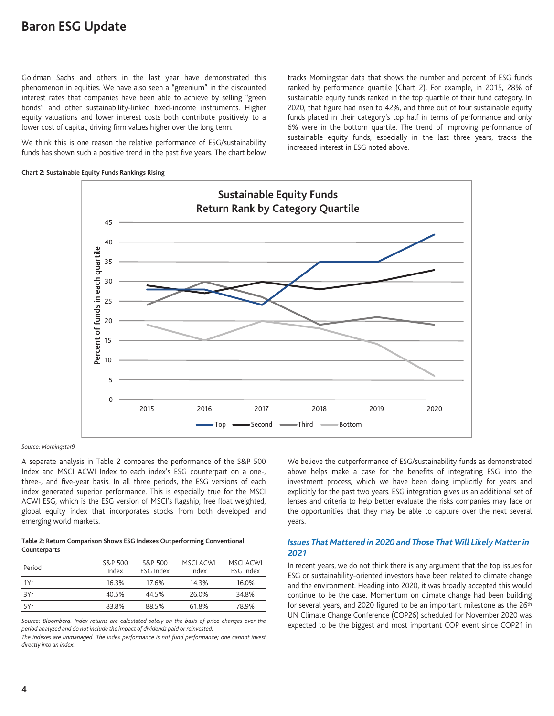Goldman Sachs and others in the last year have demonstrated this phenomenon in equities. We have also seen a "greenium" in the discounted interest rates that companies have been able to achieve by selling "green bonds" and other sustainability-linked fixed-income instruments. Higher equity valuations and lower interest costs both contribute positively to a lower cost of capital, driving firm values higher over the long term.

We think this is one reason the relative performance of ESG/sustainability funds has shown such a positive trend in the past five years. The chart below tracks Morningstar data that shows the number and percent of ESG funds ranked by performance quartile (Chart 2). For example, in 2015, 28% of sustainable equity funds ranked in the top quartile of their fund category. In 2020, that figure had risen to 42%, and three out of four sustainable equity funds placed in their category's top half in terms of performance and only 6% were in the bottom quartile. The trend of improving performance of sustainable equity funds, especially in the last three years, tracks the increased interest in ESG noted above.

#### **Chart 2: Sustainable Equity Funds Rankings Rising**



*Source: Morningstar9*

A separate analysis in Table 2 compares the performance of the S&P 500 Index and MSCI ACWI Index to each index's ESG counterpart on a one-, three-, and five-year basis. In all three periods, the ESG versions of each index generated superior performance. This is especially true for the MSCI ACWI ESG, which is the ESG version of MSCI's flagship, free float weighted, global equity index that incorporates stocks from both developed and emerging world markets.

#### **Table 2: Return Comparison Shows ESG Indexes Outperforming Conventional Counterparts**

| Period | S&P 500<br>Index | S&P 500<br>ESG Index | MSCI ACWI<br>Index | MSCI ACWI<br>ESG Index |
|--------|------------------|----------------------|--------------------|------------------------|
| 1Yr    | 16.3%            | 17.6%                | 14.3%              | 16.0%                  |
| 3Yr    | 40.5%            | 44.5%                | 26.0%              | 34.8%                  |
| 5Yr    | 83.8%            | 88.5%                | 61.8%              | 78.9%                  |

*Source: Bloomberg. Index returns are calculated solely on the basis of price changes over the period analyzed and do not include the impact of dividends paid or reinvested.*

*The indexes are unmanaged. The index performance is not fund performance; one cannot invest directly into an index.*

We believe the outperformance of ESG/sustainability funds as demonstrated above helps make a case for the benefits of integrating ESG into the investment process, which we have been doing implicitly for years and explicitly for the past two years. ESG integration gives us an additional set of lenses and criteria to help better evaluate the risks companies may face or the opportunities that they may be able to capture over the next several years.

#### *Issues That Mattered in 2020 and Those That Will Likely Matter in 2021*

In recent years, we do not think there is any argument that the top issues for ESG or sustainability-oriented investors have been related to climate change and the environment. Heading into 2020, it was broadly accepted this would continue to be the case. Momentum on climate change had been building for several years, and 2020 figured to be an important milestone as the 26<sup>th</sup> UN Climate Change Conference (COP26) scheduled for November 2020 was expected to be the biggest and most important COP event since COP21 in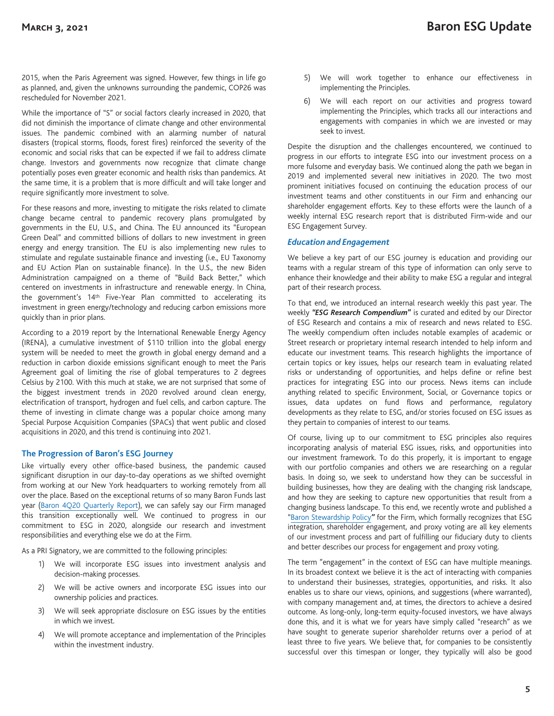2015, when the Paris Agreement was signed. However, few things in life go as planned, and, given the unknowns surrounding the pandemic, COP26 was rescheduled for November 2021.

While the importance of "S" or social factors clearly increased in 2020, that did not diminish the importance of climate change and other environmental issues. The pandemic combined with an alarming number of natural disasters (tropical storms, floods, forest fires) reinforced the severity of the economic and social risks that can be expected if we fail to address climate change. Investors and governments now recognize that climate change potentially poses even greater economic and health risks than pandemics. At the same time, it is a problem that is more difficult and will take longer and require significantly more investment to solve.

For these reasons and more, investing to mitigate the risks related to climate change became central to pandemic recovery plans promulgated by governments in the EU, U.S., and China. The EU announced its "European Green Deal" and committed billions of dollars to new investment in green energy and energy transition. The EU is also implementing new rules to stimulate and regulate sustainable finance and investing (i.e., EU Taxonomy and EU Action Plan on sustainable finance). In the U.S., the new Biden Administration campaigned on a theme of "Build Back Better," which centered on investments in infrastructure and renewable energy. In China, the government's 14<sup>th</sup> Five-Year Plan committed to accelerating its investment in green energy/technology and reducing carbon emissions more quickly than in prior plans.

According to a 2019 report by the International Renewable Energy Agency (IRENA), a cumulative investment of \$110 trillion into the global energy system will be needed to meet the growth in global energy demand and a reduction in carbon dioxide emissions significant enough to meet the Paris Agreement goal of limiting the rise of global temperatures to 2 degrees Celsius by 2100. With this much at stake, we are not surprised that some of the biggest investment trends in 2020 revolved around clean energy, electrification of transport, hydrogen and fuel cells, and carbon capture. The theme of investing in climate change was a popular choice among many Special Purpose Acquisition Companies (SPACs) that went public and closed acquisitions in 2020, and this trend is continuing into 2021.

#### **The Progression of Baron's ESG Journey**

Like virtually every other office-based business, the pandemic caused significant disruption in our day-to-day operations as we shifted overnight from working at our New York headquarters to working remotely from all over the place. Based on the exceptional returns of so many Baron Funds last year (Baron 4Q20 Quarterly Report), we can safely say our Firm managed this transition exceptionally well. We continued to progress in our commitment to ESG in 2020, alongside our research and investment responsibilities and everything else we do at the Firm.

As a PRI Signatory, we are committed to the following principles:

- 1) We will incorporate ESG issues into investment analysis and decision-making processes.
- 2) We will be active owners and incorporate ESG issues into our ownership policies and practices.
- 3) We will seek appropriate disclosure on ESG issues by the entities in which we invest.
- 4) We will promote acceptance and implementation of the Principles within the investment industry.
- 5) We will work together to enhance our effectiveness in implementing the Principles.
- 6) We will each report on our activities and progress toward implementing the Principles, which tracks all our interactions and engagements with companies in which we are invested or may seek to invest.

Despite the disruption and the challenges encountered, we continued to progress in our efforts to integrate ESG into our investment process on a more fulsome and everyday basis. We continued along the path we began in 2019 and implemented several new initiatives in 2020. The two most prominent initiatives focused on continuing the education process of our investment teams and other constituents in our Firm and enhancing our shareholder engagement efforts. Key to these efforts were the launch of a weekly internal ESG research report that is distributed Firm-wide and our ESG Engagement Survey.

#### *Education and Engagement*

We believe a key part of our ESG journey is education and providing our teams with a regular stream of this type of information can only serve to enhance their knowledge and their ability to make ESG a regular and integral part of their research process.

To that end, we introduced an internal research weekly this past year. The weekly *"ESG Research Compendium***"** is curated and edited by our Director of ESG Research and contains a mix of research and news related to ESG. The weekly compendium often includes notable examples of academic or Street research or proprietary internal research intended to help inform and educate our investment teams. This research highlights the importance of certain topics or key issues, helps our research team in evaluating related risks or understanding of opportunities, and helps define or refine best practices for integrating ESG into our process. News items can include anything related to specific Environment, Social, or Governance topics or issues, data updates on fund flows and performance, regulatory developments as they relate to ESG, and/or stories focused on ESG issues as they pertain to companies of interest to our teams.

Of course, living up to our commitment to ESG principles also requires incorporating analysis of material ESG issues, risks, and opportunities into our investment framework. To do this properly, it is important to engage with our portfolio companies and others we are researching on a regular basis. In doing so, we seek to understand how they can be successful in building businesses, how they are dealing with the changing risk landscape, and how they are seeking to capture new opportunities that result from a changing business landscape. To this end, we recently wrote and published a "Baron Stewardship Policy*"* for the Firm, which formally recognizes that ESG integration, shareholder engagement, and proxy voting are all key elements of our investment process and part of fulfilling our fiduciary duty to clients and better describes our process for engagement and proxy voting.

The term "engagement" in the context of ESG can have multiple meanings. In its broadest context we believe it is the act of interacting with companies to understand their businesses, strategies, opportunities, and risks. It also enables us to share our views, opinions, and suggestions (where warranted), with company management and, at times, the directors to achieve a desired outcome. As long-only, long-term equity-focused investors, we have always done this, and it is what we for years have simply called "research" as we have sought to generate superior shareholder returns over a period of at least three to five years. We believe that, for companies to be consistently successful over this timespan or longer, they typically will also be good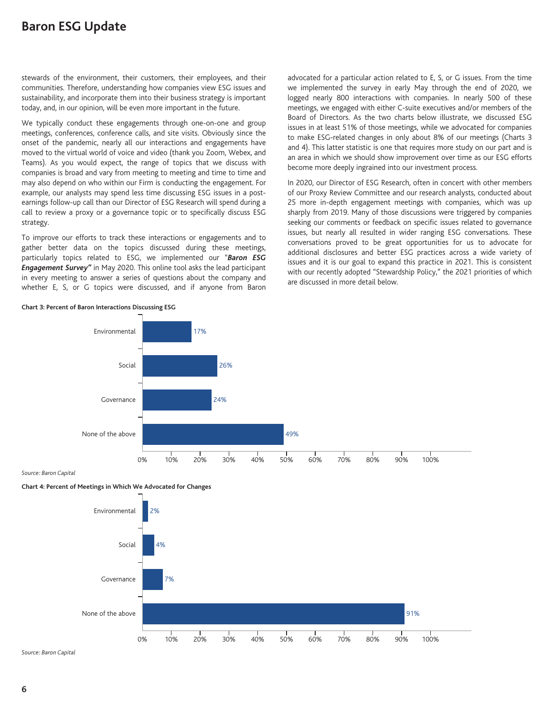stewards of the environment, their customers, their employees, and their communities. Therefore, understanding how companies view ESG issues and sustainability, and incorporate them into their business strategy is important today, and, in our opinion, will be even more important in the future.

We typically conduct these engagements through one-on-one and group meetings, conferences, conference calls, and site visits. Obviously since the onset of the pandemic, nearly all our interactions and engagements have moved to the virtual world of voice and video (thank you Zoom, Webex, and Teams). As you would expect, the range of topics that we discuss with companies is broad and vary from meeting to meeting and time to time and may also depend on who within our Firm is conducting the engagement. For example, our analysts may spend less time discussing ESG issues in a postearnings follow-up call than our Director of ESG Research will spend during a call to review a proxy or a governance topic or to specifically discuss ESG strategy.

To improve our efforts to track these interactions or engagements and to gather better data on the topics discussed during these meetings, particularly topics related to ESG, we implemented our "*Baron ESG Engagement Survey"* in May 2020. This online tool asks the lead participant in every meeting to answer a series of questions about the company and whether E, S, or G topics were discussed, and if anyone from Baron advocated for a particular action related to E, S, or G issues. From the time we implemented the survey in early May through the end of 2020, we logged nearly 800 interactions with companies. In nearly 500 of these meetings, we engaged with either C-suite executives and/or members of the Board of Directors. As the two charts below illustrate, we discussed ESG issues in at least 51% of those meetings, while we advocated for companies to make ESG-related changes in only about 8% of our meetings (Charts 3 and 4). This latter statistic is one that requires more study on our part and is an area in which we should show improvement over time as our ESG efforts become more deeply ingrained into our investment process.

In 2020, our Director of ESG Research, often in concert with other members of our Proxy Review Committee and our research analysts, conducted about 25 more in-depth engagement meetings with companies, which was up sharply from 2019. Many of those discussions were triggered by companies seeking our comments or feedback on specific issues related to governance issues, but nearly all resulted in wider ranging ESG conversations. These conversations proved to be great opportunities for us to advocate for additional disclosures and better ESG practices across a wide variety of issues and it is our goal to expand this practice in 2021. This is consistent with our recently adopted "Stewardship Policy," the 2021 priorities of which are discussed in more detail below.



**Chart 3: Percent of Baron Interactions Discussing ESG**

*Source: Baron Capital*

**Chart 4: Percent of Meetings in Which We Advocated for Changes**



*Source: Baron Capital*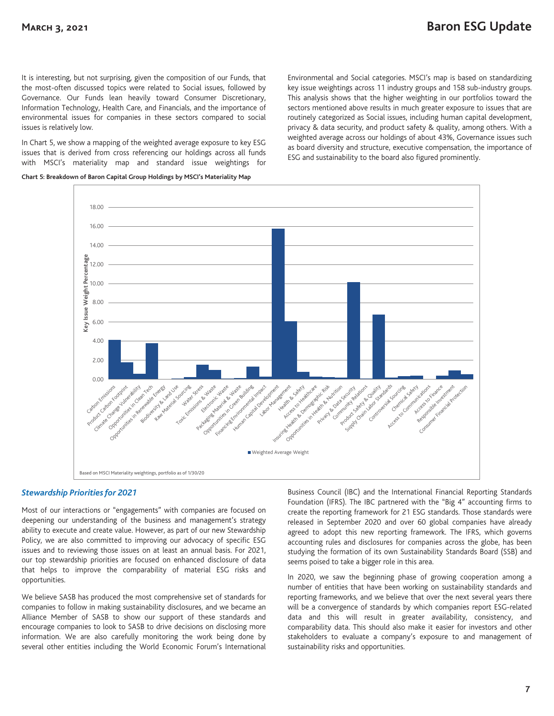It is interesting, but not surprising, given the composition of our Funds, that the most-often discussed topics were related to Social issues, followed by Governance. Our Funds lean heavily toward Consumer Discretionary, Information Technology, Health Care, and Financials, and the importance of environmental issues for companies in these sectors compared to social issues is relatively low.

In Chart 5, we show a mapping of the weighted average exposure to key ESG issues that is derived from cross referencing our holdings across all funds with MSCI's materiality map and standard issue weightings for

**Chart 5: Breakdown of Baron Capital Group Holdings by MSCI's Materiality Map**

Environmental and Social categories. MSCI's map is based on standardizing key issue weightings across 11 industry groups and 158 sub-industry groups. This analysis shows that the higher weighting in our portfolios toward the sectors mentioned above results in much greater exposure to issues that are routinely categorized as Social issues, including human capital development, privacy & data security, and product safety & quality, among others. With a weighted average across our holdings of about 43%, Governance issues such as board diversity and structure, executive compensation, the importance of ESG and sustainability to the board also figured prominently.



#### *Stewardship Priorities for 2021*

Most of our interactions or "engagements" with companies are focused on deepening our understanding of the business and management's strategy ability to execute and create value. However, as part of our new Stewardship Policy, we are also committed to improving our advocacy of specific ESG issues and to reviewing those issues on at least an annual basis. For 2021, our top stewardship priorities are focused on enhanced disclosure of data that helps to improve the comparability of material ESG risks and opportunities.

We believe SASB has produced the most comprehensive set of standards for companies to follow in making sustainability disclosures, and we became an Alliance Member of SASB to show our support of these standards and encourage companies to look to SASB to drive decisions on disclosing more information. We are also carefully monitoring the work being done by several other entities including the World Economic Forum's International Business Council (IBC) and the International Financial Reporting Standards Foundation (IFRS). The IBC partnered with the "Big 4" accounting firms to create the reporting framework for 21 ESG standards. Those standards were released in September 2020 and over 60 global companies have already agreed to adopt this new reporting framework. The IFRS, which governs accounting rules and disclosures for companies across the globe, has been studying the formation of its own Sustainability Standards Board (SSB) and seems poised to take a bigger role in this area.

In 2020, we saw the beginning phase of growing cooperation among a number of entities that have been working on sustainability standards and reporting frameworks, and we believe that over the next several years there will be a convergence of standards by which companies report ESG-related data and this will result in greater availability, consistency, and comparability data. This should also make it easier for investors and other stakeholders to evaluate a company's exposure to and management of sustainability risks and opportunities.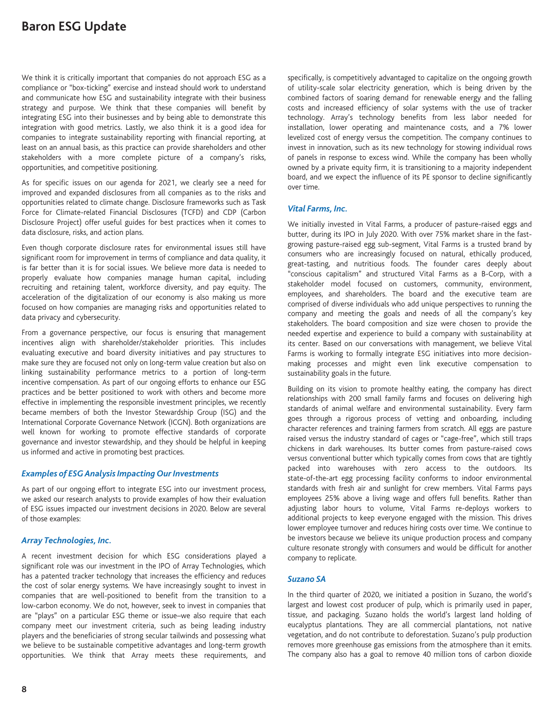We think it is critically important that companies do not approach ESG as a compliance or "box-ticking" exercise and instead should work to understand and communicate how ESG and sustainability integrate with their business strategy and purpose. We think that these companies will benefit by integrating ESG into their businesses and by being able to demonstrate this integration with good metrics. Lastly, we also think it is a good idea for companies to integrate sustainability reporting with financial reporting, at least on an annual basis, as this practice can provide shareholders and other stakeholders with a more complete picture of a company's risks, opportunities, and competitive positioning.

As for specific issues on our agenda for 2021, we clearly see a need for improved and expanded disclosures from all companies as to the risks and opportunities related to climate change. Disclosure frameworks such as Task Force for Climate-related Financial Disclosures (TCFD) and CDP (Carbon Disclosure Project) offer useful guides for best practices when it comes to data disclosure, risks, and action plans.

Even though corporate disclosure rates for environmental issues still have significant room for improvement in terms of compliance and data quality, it is far better than it is for social issues. We believe more data is needed to properly evaluate how companies manage human capital, including recruiting and retaining talent, workforce diversity, and pay equity. The acceleration of the digitalization of our economy is also making us more focused on how companies are managing risks and opportunities related to data privacy and cybersecurity.

From a governance perspective, our focus is ensuring that management incentives align with shareholder/stakeholder priorities. This includes evaluating executive and board diversity initiatives and pay structures to make sure they are focused not only on long-term value creation but also on linking sustainability performance metrics to a portion of long-term incentive compensation. As part of our ongoing efforts to enhance our ESG practices and be better positioned to work with others and become more effective in implementing the responsible investment principles, we recently became members of both the Investor Stewardship Group (ISG) and the International Corporate Governance Network (ICGN). Both organizations are well known for working to promote effective standards of corporate governance and investor stewardship, and they should be helpful in keeping us informed and active in promoting best practices.

#### *Examples of ESG Analysis Impacting Our Investments*

As part of our ongoing effort to integrate ESG into our investment process, we asked our research analysts to provide examples of how their evaluation of ESG issues impacted our investment decisions in 2020. Below are several of those examples:

#### *Array Technologies, Inc.*

A recent investment decision for which ESG considerations played a significant role was our investment in the IPO of Array Technologies, which has a patented tracker technology that increases the efficiency and reduces the cost of solar energy systems. We have increasingly sought to invest in companies that are well-positioned to benefit from the transition to a low-carbon economy. We do not, however, seek to invest in companies that are "plays" on a particular ESG theme or issue–we also require that each company meet our investment criteria, such as being leading industry players and the beneficiaries of strong secular tailwinds and possessing what we believe to be sustainable competitive advantages and long-term growth opportunities. We think that Array meets these requirements, and

specifically, is competitively advantaged to capitalize on the ongoing growth of utility-scale solar electricity generation, which is being driven by the combined factors of soaring demand for renewable energy and the falling costs and increased efficiency of solar systems with the use of tracker technology. Array's technology benefits from less labor needed for installation, lower operating and maintenance costs, and a 7% lower levelized cost of energy versus the competition. The company continues to invest in innovation, such as its new technology for stowing individual rows of panels in response to excess wind. While the company has been wholly owned by a private equity firm, it is transitioning to a majority independent board, and we expect the influence of its PE sponsor to decline significantly over time.

#### *Vital Farms, Inc.*

We initially invested in Vital Farms, a producer of pasture-raised eggs and butter, during its IPO in July 2020. With over 75% market share in the fastgrowing pasture-raised egg sub-segment, Vital Farms is a trusted brand by consumers who are increasingly focused on natural, ethically produced, great-tasting, and nutritious foods. The founder cares deeply about "conscious capitalism" and structured Vital Farms as a B-Corp, with a stakeholder model focused on customers, community, environment, employees, and shareholders. The board and the executive team are comprised of diverse individuals who add unique perspectives to running the company and meeting the goals and needs of all the company's key stakeholders. The board composition and size were chosen to provide the needed expertise and experience to build a company with sustainability at its center. Based on our conversations with management, we believe Vital Farms is working to formally integrate ESG initiatives into more decisionmaking processes and might even link executive compensation to sustainability goals in the future.

Building on its vision to promote healthy eating, the company has direct relationships with 200 small family farms and focuses on delivering high standards of animal welfare and environmental sustainability. Every farm goes through a rigorous process of vetting and onboarding, including character references and training farmers from scratch. All eggs are pasture raised versus the industry standard of cages or "cage-free", which still traps chickens in dark warehouses. Its butter comes from pasture-raised cows versus conventional butter which typically comes from cows that are tightly packed into warehouses with zero access to the outdoors. Its state-of-the-art egg processing facility conforms to indoor environmental standards with fresh air and sunlight for crew members. Vital Farms pays employees 25% above a living wage and offers full benefits. Rather than adjusting labor hours to volume, Vital Farms re-deploys workers to additional projects to keep everyone engaged with the mission. This drives lower employee turnover and reduces hiring costs over time. We continue to be investors because we believe its unique production process and company culture resonate strongly with consumers and would be difficult for another company to replicate.

#### *Suzano SA*

In the third quarter of 2020, we initiated a position in Suzano, the world's largest and lowest cost producer of pulp, which is primarily used in paper, tissue, and packaging. Suzano holds the world's largest land holding of eucalyptus plantations. They are all commercial plantations, not native vegetation, and do not contribute to deforestation. Suzano's pulp production removes more greenhouse gas emissions from the atmosphere than it emits. The company also has a goal to remove 40 million tons of carbon dioxide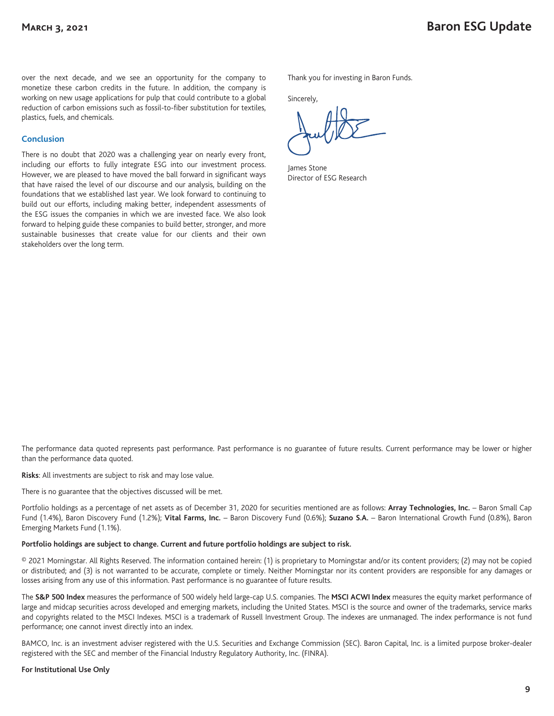over the next decade, and we see an opportunity for the company to monetize these carbon credits in the future. In addition, the company is working on new usage applications for pulp that could contribute to a global reduction of carbon emissions such as fossil-to-fiber substitution for textiles, plastics, fuels, and chemicals.

#### **Conclusion**

There is no doubt that 2020 was a challenging year on nearly every front, including our efforts to fully integrate ESG into our investment process. However, we are pleased to have moved the ball forward in significant ways that have raised the level of our discourse and our analysis, building on the foundations that we established last year. We look forward to continuing to build out our efforts, including making better, independent assessments of the ESG issues the companies in which we are invested face. We also look forward to helping guide these companies to build better, stronger, and more sustainable businesses that create value for our clients and their own stakeholders over the long term.

Thank you for investing in Baron Funds.

Sincerely,

James Stone Director of ESG Research

The performance data quoted represents past performance. Past performance is no guarantee of future results. Current performance may be lower or higher than the performance data quoted.

#### **Risks**: All investments are subject to risk and may lose value.

There is no guarantee that the objectives discussed will be met.

Portfolio holdings as a percentage of net assets as of December 31, 2020 for securities mentioned are as follows: **Array Technologies, Inc.** – Baron Small Cap Fund (1.4%), Baron Discovery Fund (1.2%); **Vital Farms, Inc.** – Baron Discovery Fund (0.6%); **Suzano S.A.** – Baron International Growth Fund (0.8%), Baron Emerging Markets Fund (1.1%).

#### **Portfolio holdings are subject to change. Current and future portfolio holdings are subject to risk.**

© 2021 Morningstar. All Rights Reserved. The information contained herein: (1) is proprietary to Morningstar and/or its content providers; (2) may not be copied or distributed; and (3) is not warranted to be accurate, complete or timely. Neither Morningstar nor its content providers are responsible for any damages or losses arising from any use of this information. Past performance is no guarantee of future results.

The **S&P 500 Index** measures the performance of 500 widely held large-cap U.S. companies. The **MSCI ACWI Index** measures the equity market performance of large and midcap securities across developed and emerging markets, including the United States. MSCI is the source and owner of the trademarks, service marks and copyrights related to the MSCI Indexes. MSCI is a trademark of Russell Investment Group. The indexes are unmanaged. The index performance is not fund performance; one cannot invest directly into an index.

BAMCO, Inc. is an investment adviser registered with the U.S. Securities and Exchange Commission (SEC). Baron Capital, Inc. is a limited purpose broker-dealer registered with the SEC and member of the Financial Industry Regulatory Authority, Inc. (FINRA).

#### **For Institutional Use Only**